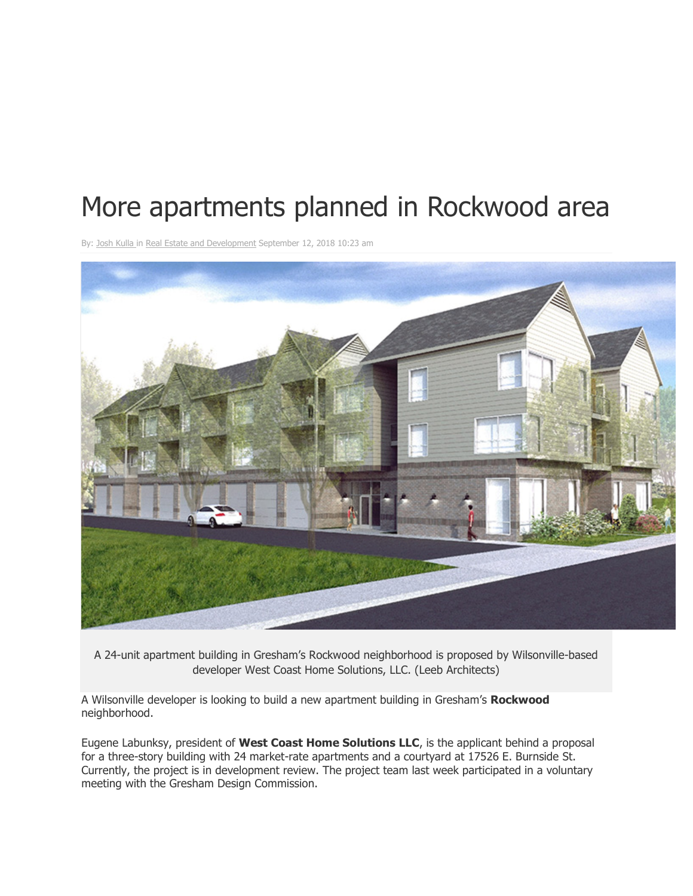## More apartments planned in Rockwood area

By: Josh Kulla in Real Estate and Development September 12, 2018 10:23 am



A 24-unit apartment building in Gresham's Rockwood neighborhood is proposed by Wilsonville-based developer West Coast Home Solutions, LLC. (Leeb Architects)

A Wilsonville developer is looking to build a new apartment building in Gresham's **Rockwood** neighborhood.

Eugene Labunksy, president of **West Coast Home Solutions LLC**, is the applicant behind a proposal for a three-story building with 24 market-rate apartments and a courtyard at 17526 E. Burnside St. Currently, the project is in development review. The project team last week participated in a voluntary meeting with the Gresham Design Commission.